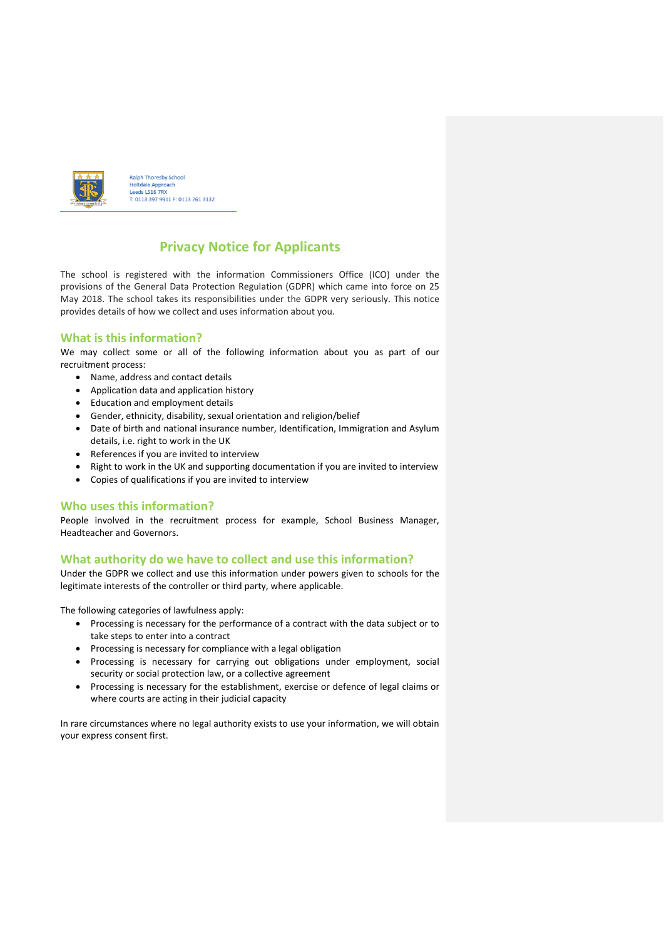

Ralph Thoresby School Holtdale Approach<br>Leeds LS16 7RX T: 0113 397 9911 F: 0113 261 3132

# **Privacy Notice for Applicants**

The school is registered with the information Commissioners Office (ICO) under the provisions of the General Data Protection Regulation (GDPR) which came into force on 25 May 2018. The school takes its responsibilities under the GDPR very seriously. This notice provides details of how we collect and uses information about you.

# **What is this information?**

We may collect some or all of the following information about you as part of our recruitment process:

- Name, address and contact details
- Application data and application history
- Education and employment details
- Gender, ethnicity, disability, sexual orientation and religion/belief
- Date of birth and national insurance number, Identification, Immigration and Asylum details, i.e. right to work in the UK
- References if you are invited to interview
- Right to work in the UK and supporting documentation if you are invited to interview
- Copies of qualifications if you are invited to interview

# **Who uses this information?**

People involved in the recruitment process for example, School Business Manager, Headteacher and Governors.

## **What authority do we have to collect and use this information?**

Under the GDPR we collect and use this information under powers given to schools for the legitimate interests of the controller or third party, where applicable.

The following categories of lawfulness apply:

- Processing is necessary for the performance of a contract with the data subject or to take steps to enter into a contract
- Processing is necessary for compliance with a legal obligation
- Processing is necessary for carrying out obligations under employment, social security or social protection law, or a collective agreement
- Processing is necessary for the establishment, exercise or defence of legal claims or where courts are acting in their judicial capacity

In rare circumstances where no legal authority exists to use your information, we will obtain your express consent first.